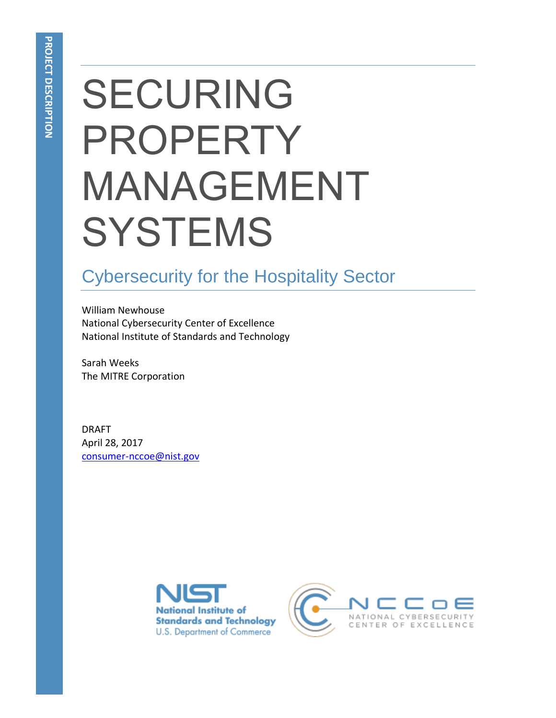# SECURING PROPERTY MANAGEMENT **SYSTEMS**

## Cybersecurity for the Hospitality Sector

William Newhouse National Cybersecurity Center of Excellence National Institute of Standards and Technology

Sarah Weeks The MITRE Corporation

DRAFT April 28, 2017 [consumer-nccoe@nist.gov](mailto:consumer-nccoe@nist.gov)



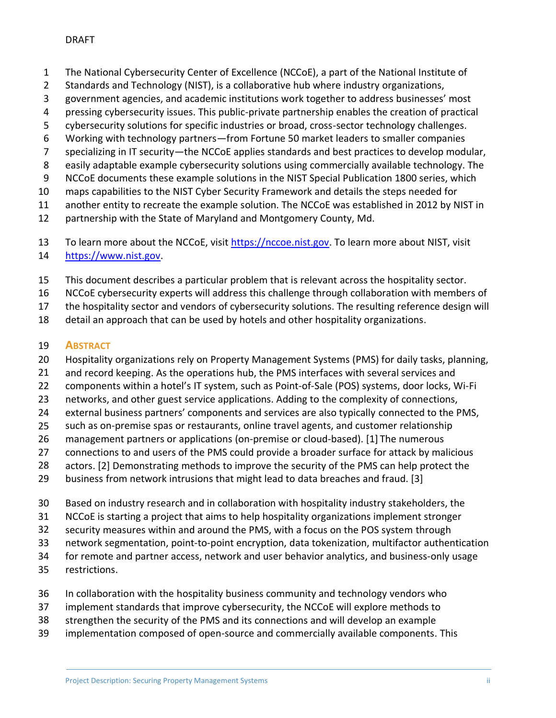- The National Cybersecurity Center of Excellence (NCCoE), a part of the National Institute of
- Standards and Technology (NIST), is a collaborative hub where industry organizations,
- government agencies, and academic institutions work together to address businesses' most
- pressing cybersecurity issues. This public-private partnership enables the creation of practical
- cybersecurity solutions for specific industries or broad, cross-sector technology challenges.
- Working with technology partners—from Fortune 50 market leaders to smaller companies
- specializing in IT security—the NCCoE applies standards and best practices to develop modular,
- easily adaptable example cybersecurity solutions using commercially available technology. The
- NCCoE documents these example solutions in the NIST Special Publication 1800 series, which
- maps capabilities to the NIST Cyber Security Framework and details the steps needed for
- another entity to recreate the example solution. The NCCoE was established in 2012 by NIST in
- partnership with the State of Maryland and Montgomery County, Md.

- This document describes a particular problem that is relevant across the hospitality sector.
- NCCoE cybersecurity experts will address this challenge through collaboration with members of
- the hospitality sector and vendors of cybersecurity solutions. The resulting reference design will
- detail an approach that can be used by hotels and other hospitality organizations.

#### **ABSTRACT**

- Hospitality organizations rely on Property Management Systems (PMS) for daily tasks, planning,
- and record keeping. As the operations hub, the PMS interfaces with several services and
- components within a hotel's IT system, such as Point-of-Sale (POS) systems, door locks, Wi-Fi
- networks, and other guest service applications. Adding to the complexity of connections,
- external business partners' components and services are also typically connected to the PMS,
- such as on-premise spas or restaurants, online travel agents, and customer relationship
- management partners or applications (on-premise or cloud-based). [\[1\]](#page-9-0) The numerous
- connections to and users of the PMS could provide a broader surface for attack by malicious
- actors[. \[2\]](#page-9-1) Demonstrating methods to improve the security of the PMS can help protect the
- business from network intrusions that might lead to data breaches and fraud. [\[3\]](#page-9-2)
- Based on industry research and in collaboration with hospitality industry stakeholders, the
- NCCoE is starting a project that aims to help hospitality organizations implement stronger
- security measures within and around the PMS, with a focus on the POS system through
- network segmentation, point-to-point encryption, data tokenization, multifactor authentication
- for remote and partner access, network and user behavior analytics, and business-only usage
- restrictions.
- In collaboration with the hospitality business community and technology vendors who
- implement standards that improve cybersecurity, the NCCoE will explore methods to
- strengthen the security of the PMS and its connections and will develop an example
- implementation composed of open-source and commercially available components. This

<sup>13</sup> To learn more about the NCCoE, visit [https://nccoe.nist.gov.](https://nccoe.nist.gov/) To learn more about NIST, visit [https://www.nist.gov.](https://www.nist.gov/)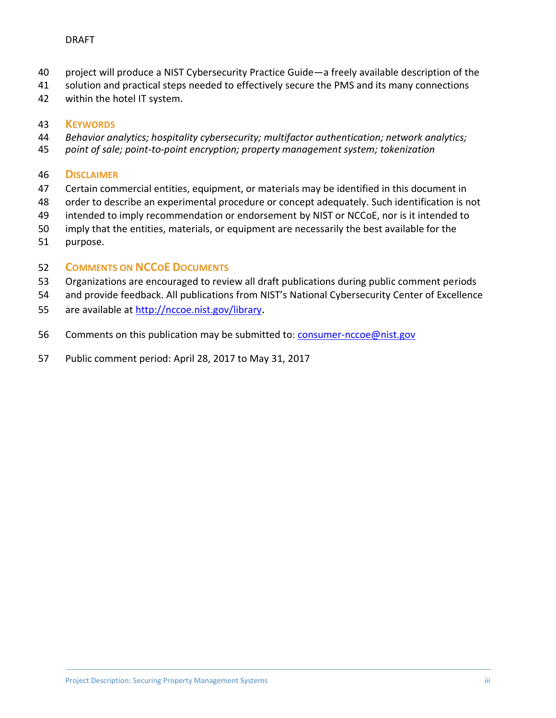- project will produce a NIST Cybersecurity Practice Guide—a freely available description of the
- 41 solution and practical steps needed to effectively secure the PMS and its many connections
- within the hotel IT system.

#### **KEYWORDS**

- *Behavior analytics; hospitality cybersecurity; multifactor authentication; network analytics;*
- *point of sale; point-to-point encryption; property management system; tokenization*

#### **DISCLAIMER**

- Certain commercial entities, equipment, or materials may be identified in this document in
- order to describe an experimental procedure or concept adequately. Such identification is not
- intended to imply recommendation or endorsement by NIST or NCCoE, nor is it intended to
- imply that the entities, materials, or equipment are necessarily the best available for the
- purpose.

#### **COMMENTS ON NCCOE DOCUMENTS**

- Organizations are encouraged to review all draft publications during public comment periods
- and provide feedback. All publications from NIST's National Cybersecurity Center of Excellence
- are available at<http://nccoe.nist.gov/library>.
- Comments on this publication may be submitted to: [consumer-nccoe@nist.gov](mailto:consumer-nccoe@nist.gov)
- Public comment period: April 28, 2017 to May 31, 2017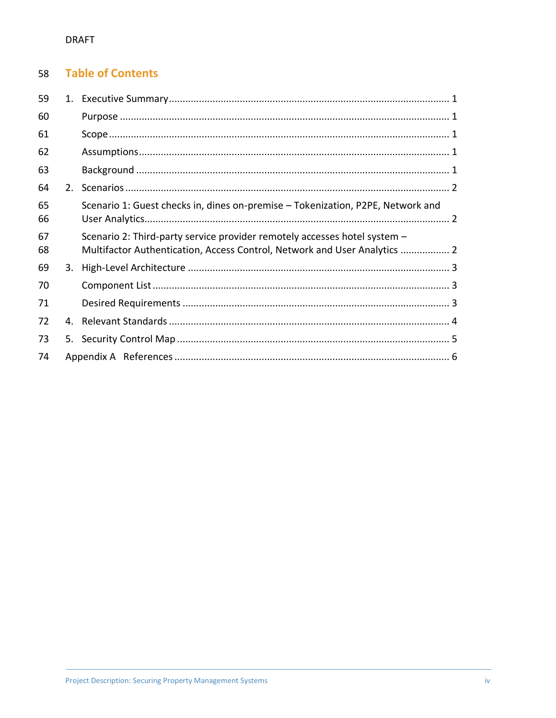#### **Table of Contents** 58

| 59       |    |                                                                                                                                                        |  |  |
|----------|----|--------------------------------------------------------------------------------------------------------------------------------------------------------|--|--|
| 60       |    |                                                                                                                                                        |  |  |
| 61       |    |                                                                                                                                                        |  |  |
| 62       |    |                                                                                                                                                        |  |  |
| 63       |    |                                                                                                                                                        |  |  |
| 64       |    |                                                                                                                                                        |  |  |
| 65<br>66 |    | Scenario 1: Guest checks in, dines on-premise - Tokenization, P2PE, Network and                                                                        |  |  |
| 67<br>68 |    | Scenario 2: Third-party service provider remotely accesses hotel system -<br>Multifactor Authentication, Access Control, Network and User Analytics  2 |  |  |
| 69       | 3. |                                                                                                                                                        |  |  |
| 70       |    |                                                                                                                                                        |  |  |
| 71       |    |                                                                                                                                                        |  |  |
| 72       |    |                                                                                                                                                        |  |  |
| 73       |    |                                                                                                                                                        |  |  |
| 74       |    |                                                                                                                                                        |  |  |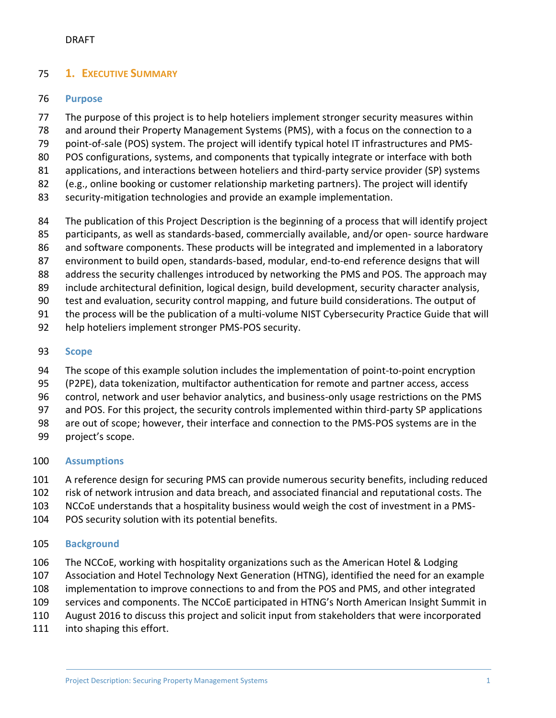#### <span id="page-4-0"></span>**1. EXECUTIVE SUMMARY**

#### <span id="page-4-1"></span>**Purpose**

- The purpose of this project is to help hoteliers implement stronger security measures within
- and around their Property Management Systems (PMS), with a focus on the connection to a
- point-of-sale (POS) system. The project will identify typical hotel IT infrastructures and PMS-
- 80 POS configurations, systems, and components that typically integrate or interface with both
- applications, and interactions between hoteliers and third-party service provider (SP) systems
- (e.g., online booking or customer relationship marketing partners). The project will identify
- security-mitigation technologies and provide an example implementation.
- The publication of this Project Description is the beginning of a process that will identify project
- participants, as well as standards-based, commercially available, and/or open- source hardware
- and software components. These products will be integrated and implemented in a laboratory
- environment to build open, standards-based, modular, end-to-end reference designs that will
- 88 address the security challenges introduced by networking the PMS and POS. The approach may
- include architectural definition, logical design, build development, security character analysis,
- test and evaluation, security control mapping, and future build considerations. The output of
- 91 the process will be the publication of a multi-volume NIST Cybersecurity Practice Guide that will
- help hoteliers implement stronger PMS-POS security.

#### <span id="page-4-2"></span>**Scope**

- The scope of this example solution includes the implementation of point-to-point encryption
- (P2PE), data tokenization, multifactor authentication for remote and partner access, access
- control, network and user behavior analytics, and business-only usage restrictions on the PMS
- and POS. For this project, the security controls implemented within third-party SP applications
- are out of scope; however, their interface and connection to the PMS-POS systems are in the
- project's scope.

### <span id="page-4-3"></span>**Assumptions**

- A reference design for securing PMS can provide numerous security benefits, including reduced
- risk of network intrusion and data breach, and associated financial and reputational costs. The
- NCCoE understands that a hospitality business would weigh the cost of investment in a PMS-
- POS security solution with its potential benefits.

#### <span id="page-4-4"></span>**Background**

- The NCCoE, working with hospitality organizations such as the American Hotel & Lodging
- Association and Hotel Technology Next Generation (HTNG), identified the need for an example
- implementation to improve connections to and from the POS and PMS, and other integrated
- services and components. The NCCoE participated in HTNG's North American Insight Summit in
- August 2016 to discuss this project and solicit input from stakeholders that were incorporated
- into shaping this effort.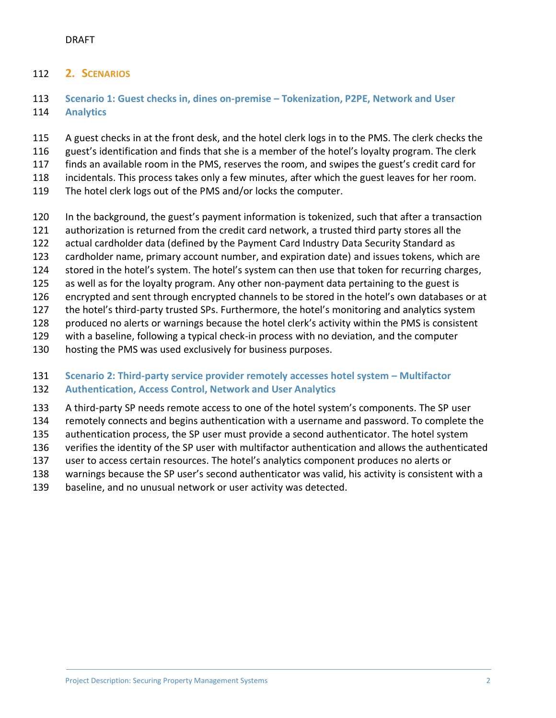#### <span id="page-5-0"></span>**2. SCENARIOS**

#### <span id="page-5-1"></span> **Scenario 1: Guest checks in, dines on-premise – Tokenization, P2PE, Network and User Analytics**

A guest checks in at the front desk, and the hotel clerk logs in to the PMS. The clerk checks the

guest's identification and finds that she is a member of the hotel's loyalty program. The clerk

finds an available room in the PMS, reserves the room, and swipes the guest's credit card for

incidentals. This process takes only a few minutes, after which the guest leaves for her room.

The hotel clerk logs out of the PMS and/or locks the computer.

In the background, the guest's payment information is tokenized, such that after a transaction

- authorization is returned from the credit card network, a trusted third party stores all the
- actual cardholder data (defined by the Payment Card Industry Data Security Standard as

cardholder name, primary account number, and expiration date) and issues tokens, which are

124 stored in the hotel's system. The hotel's system can then use that token for recurring charges,

as well as for the loyalty program. Any other non-payment data pertaining to the guest is

encrypted and sent through encrypted channels to be stored in the hotel's own databases or at

the hotel's third-party trusted SPs. Furthermore, the hotel's monitoring and analytics system

produced no alerts or warnings because the hotel clerk's activity within the PMS is consistent

with a baseline, following a typical check-in process with no deviation, and the computer

hosting the PMS was used exclusively for business purposes.

## <span id="page-5-2"></span>**Scenario 2: Third-party service provider remotely accesses hotel system – Multifactor**

#### **Authentication, Access Control, Network and User Analytics**

A third-party SP needs remote access to one of the hotel system's components. The SP user

remotely connects and begins authentication with a username and password. To complete the

authentication process, the SP user must provide a second authenticator. The hotel system

verifies the identity of the SP user with multifactor authentication and allows the authenticated

user to access certain resources. The hotel's analytics component produces no alerts or

warnings because the SP user's second authenticator was valid, his activity is consistent with a

baseline, and no unusual network or user activity was detected.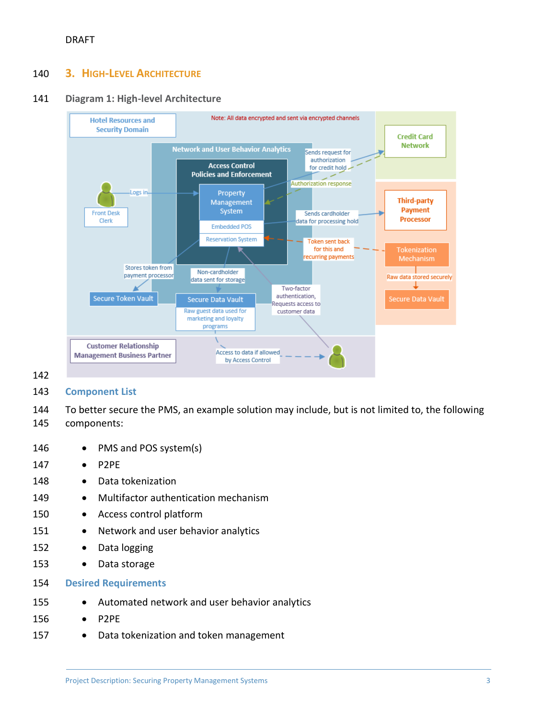#### <span id="page-6-0"></span>140 **3. HIGH-LEVEL ARCHITECTURE**

#### 141 **Diagram 1: High-level Architecture**



#### 142

#### <span id="page-6-1"></span>143 **Component List**

144 To better secure the PMS, an example solution may include, but is not limited to, the following

- 145 components:
- 146 PMS and POS system(s)
- 147 P2PE
- 148 Data tokenization
- 149 Multifactor authentication mechanism
- 150 Access control platform
- 151 Network and user behavior analytics
- 152 Data logging
- 153 Data storage
- <span id="page-6-2"></span>154 **Desired Requirements**
- 155 Automated network and user behavior analytics
- 156 P2PE
- 157 Data tokenization and token management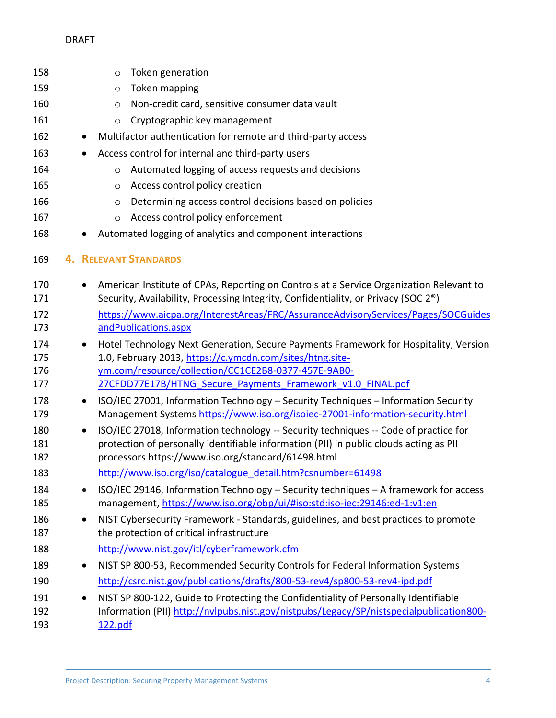<span id="page-7-0"></span>

| 158               |           | Token generation<br>$\circ$                                                                                                                                                                                                          |
|-------------------|-----------|--------------------------------------------------------------------------------------------------------------------------------------------------------------------------------------------------------------------------------------|
| 159               |           | Token mapping<br>$\circ$                                                                                                                                                                                                             |
| 160               |           | Non-credit card, sensitive consumer data vault<br>$\circ$                                                                                                                                                                            |
| 161               |           | Cryptographic key management<br>$\circ$                                                                                                                                                                                              |
| 162               | $\bullet$ | Multifactor authentication for remote and third-party access                                                                                                                                                                         |
| 163               | $\bullet$ | Access control for internal and third-party users                                                                                                                                                                                    |
| 164               |           | Automated logging of access requests and decisions<br>$\circ$                                                                                                                                                                        |
| 165               |           | Access control policy creation<br>$\circ$                                                                                                                                                                                            |
| 166               |           | Determining access control decisions based on policies<br>$\circ$                                                                                                                                                                    |
| 167               |           | Access control policy enforcement<br>$\circ$                                                                                                                                                                                         |
| 168               |           | Automated logging of analytics and component interactions                                                                                                                                                                            |
| 169               |           | <b>4. RELEVANT STANDARDS</b>                                                                                                                                                                                                         |
| 170<br>171        | $\bullet$ | American Institute of CPAs, Reporting on Controls at a Service Organization Relevant to<br>Security, Availability, Processing Integrity, Confidentiality, or Privacy (SOC 2 <sup>®</sup> )                                           |
| 172               |           | https://www.aicpa.org/InterestAreas/FRC/AssuranceAdvisoryServices/Pages/SOCGuides                                                                                                                                                    |
| 173               |           | andPublications.aspx                                                                                                                                                                                                                 |
| 174               | $\bullet$ | Hotel Technology Next Generation, Secure Payments Framework for Hospitality, Version                                                                                                                                                 |
| 175<br>176        |           | 1.0, February 2013, https://c.ymcdn.com/sites/htng.site-<br>ym.com/resource/collection/CC1CE2B8-0377-457E-9AB0-                                                                                                                      |
| 177               |           | 27CFDD77E17B/HTNG Secure Payments Framework v1.0 FINAL.pdf                                                                                                                                                                           |
| 178               | $\bullet$ | ISO/IEC 27001, Information Technology - Security Techniques - Information Security                                                                                                                                                   |
| 179               |           | Management Systems https://www.iso.org/isoiec-27001-information-security.html                                                                                                                                                        |
| 180<br>181<br>182 | $\bullet$ | ISO/IEC 27018, Information technology -- Security techniques -- Code of practice for<br>protection of personally identifiable information (PII) in public clouds acting as PII<br>processors https://www.iso.org/standard/61498.html |
| 183               |           | http://www.iso.org/iso/catalogue detail.htm?csnumber=61498                                                                                                                                                                           |
| 184<br>185        | $\bullet$ | ISO/IEC 29146, Information Technology - Security techniques - A framework for access<br>management, https://www.iso.org/obp/ui/#iso:std:iso-iec:29146:ed-1:v1:en                                                                     |
| 186<br>187        | $\bullet$ | NIST Cybersecurity Framework - Standards, guidelines, and best practices to promote<br>the protection of critical infrastructure                                                                                                     |
| 188               |           | http://www.nist.gov/itl/cyberframework.cfm                                                                                                                                                                                           |
| 189               | $\bullet$ | NIST SP 800-53, Recommended Security Controls for Federal Information Systems                                                                                                                                                        |
| 190               |           | http://csrc.nist.gov/publications/drafts/800-53-rev4/sp800-53-rev4-ipd.pdf                                                                                                                                                           |
| 191<br>192<br>193 | $\bullet$ | NIST SP 800-122, Guide to Protecting the Confidentiality of Personally Identifiable<br>Information (PII) http://nvlpubs.nist.gov/nistpubs/Legacy/SP/nistspecialpublication800-<br>122.pdf                                            |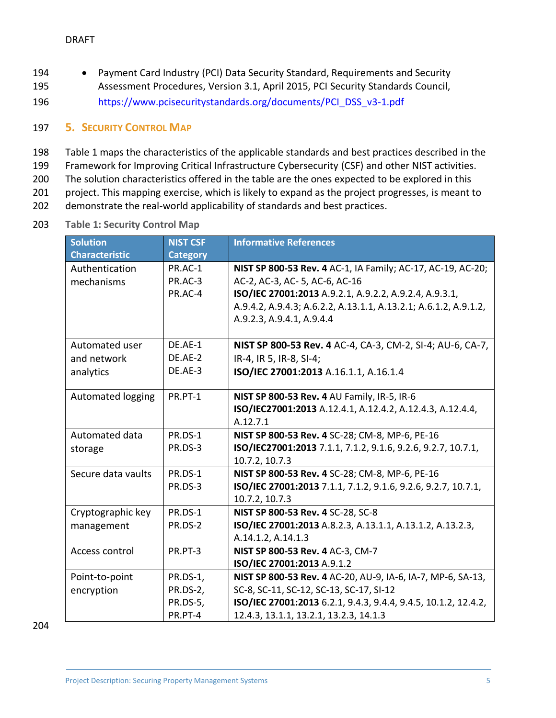194 • Payment Card Industry (PCI) Data Security Standard, Requirements and Security 195 Assessment Procedures, Version 3.1, April 2015, PCI Security Standards Council, 196 [https://www.pcisecuritystandards.org/documents/PCI\\_DSS\\_v3-1.pdf](https://www.pcisecuritystandards.org/documents/PCI_DSS_v3-1.pdf)

#### <span id="page-8-0"></span>197 **5. SECURITY CONTROL MAP**

- 198 Table 1 maps the characteristics of the applicable standards and best practices described in the
- 199 Framework for Improving Critical Infrastructure Cybersecurity (CSF) and other NIST activities.

200 The solution characteristics offered in the table are the ones expected to be explored in this

201 project. This mapping exercise, which is likely to expand as the project progresses, is meant to

202 demonstrate the real-world applicability of standards and best practices.

| <b>Solution</b>       | <b>NIST CSF</b> | <b>Informative References</b>                                    |
|-----------------------|-----------------|------------------------------------------------------------------|
| <b>Characteristic</b> | <b>Category</b> |                                                                  |
| Authentication        | PR.AC-1         | NIST SP 800-53 Rev. 4 AC-1, IA Family; AC-17, AC-19, AC-20;      |
| mechanisms            | PR.AC-3         | AC-2, AC-3, AC-5, AC-6, AC-16                                    |
|                       | PR.AC-4         | ISO/IEC 27001:2013 A.9.2.1, A.9.2.2, A.9.2.4, A.9.3.1,           |
|                       |                 | A.9.4.2, A.9.4.3; A.6.2.2, A.13.1.1, A.13.2.1; A.6.1.2, A.9.1.2, |
|                       |                 | A.9.2.3, A.9.4.1, A.9.4.4                                        |
|                       |                 |                                                                  |
| Automated user        | DE.AE-1         | NIST SP 800-53 Rev. 4 AC-4, CA-3, CM-2, SI-4; AU-6, CA-7,        |
| and network           | DE.AE-2         | IR-4, IR 5, IR-8, SI-4;                                          |
| analytics             | DE.AE-3         | ISO/IEC 27001:2013 A.16.1.1, A.16.1.4                            |
|                       |                 |                                                                  |
| Automated logging     | PR.PT-1         | NIST SP 800-53 Rev. 4 AU Family, IR-5, IR-6                      |
|                       |                 | ISO/IEC27001:2013 A.12.4.1, A.12.4.2, A.12.4.3, A.12.4.4,        |
|                       |                 | A.12.7.1                                                         |
| Automated data        | PR.DS-1         | NIST SP 800-53 Rev. 4 SC-28; CM-8, MP-6, PE-16                   |
| storage               | PR.DS-3         | ISO/IEC27001:2013 7.1.1, 7.1.2, 9.1.6, 9.2.6, 9.2.7, 10.7.1,     |
|                       |                 | 10.7.2, 10.7.3                                                   |
| Secure data vaults    | PR.DS-1         | NIST SP 800-53 Rev. 4 SC-28; CM-8, MP-6, PE-16                   |
|                       | PR.DS-3         | ISO/IEC 27001:2013 7.1.1, 7.1.2, 9.1.6, 9.2.6, 9.2.7, 10.7.1,    |
|                       |                 | 10.7.2, 10.7.3                                                   |
| Cryptographic key     | PR.DS-1         | NIST SP 800-53 Rev. 4 SC-28, SC-8                                |
| management            | PR.DS-2         | ISO/IEC 27001:2013 A.8.2.3, A.13.1.1, A.13.1.2, A.13.2.3,        |
|                       |                 | A.14.1.2, A.14.1.3                                               |
| Access control        | PR.PT-3         | NIST SP 800-53 Rev. 4 AC-3, CM-7                                 |
|                       |                 | ISO/IEC 27001:2013 A.9.1.2                                       |
| Point-to-point        | PR.DS-1,        | NIST SP 800-53 Rev. 4 AC-20, AU-9, IA-6, IA-7, MP-6, SA-13,      |
| encryption            | <b>PR.DS-2,</b> | SC-8, SC-11, SC-12, SC-13, SC-17, SI-12                          |
|                       | PR.DS-5,        | ISO/IEC 27001:2013 6.2.1, 9.4.3, 9.4.4, 9.4.5, 10.1.2, 12.4.2,   |
|                       | PR.PT-4         | 12.4.3, 13.1.1, 13.2.1, 13.2.3, 14.1.3                           |

203 **Table 1: Security Control Map**

204